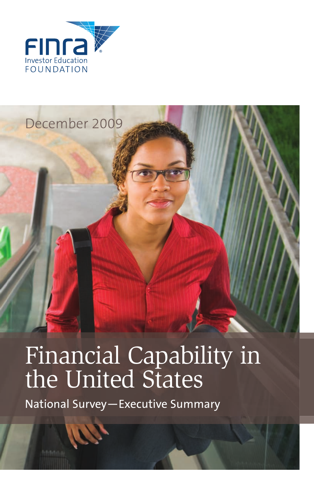

## December 2009

# Financial Capability in the United States

National Survey—Executive Summary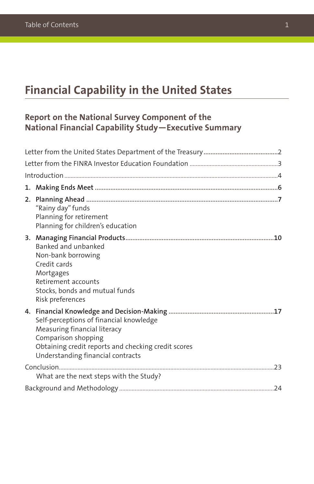## **Financial Capability in the United States**

### **Report on the National Survey Component of the National Financial Capability Study—Executive Summary**

| "Rainy day" funds<br>Planning for retirement<br>Planning for children's education                                                                                                          |  |
|--------------------------------------------------------------------------------------------------------------------------------------------------------------------------------------------|--|
| Banked and unbanked<br>Non-bank borrowing<br>Credit cards<br>Mortgages<br>Retirement accounts<br>Stocks, bonds and mutual funds<br>Risk preferences                                        |  |
| Self-perceptions of financial knowledge<br>Measuring financial literacy<br>Comparison shopping<br>Obtaining credit reports and checking credit scores<br>Understanding financial contracts |  |
| What are the next steps with the Study?                                                                                                                                                    |  |
|                                                                                                                                                                                            |  |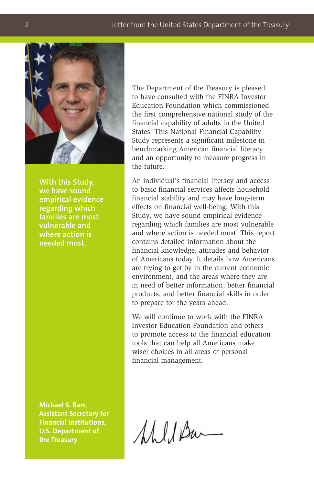

**With this Study, we have sound empirical evidence regarding which families are most vulnerable and where action is needed most.**

**Michael S. Barr, Assistant Secretary for Financial Institutions, U.S. Department of the Treasury**

The Department of the Treasury is pleased to have consulted with the FINRA Investor Education Foundation which commissioned the first comprehensive national study of the financial capability of adults in the United States. This National Financial Capability Study represents a significant milestone in benchmarking American financial literacy and an opportunity to measure progress in the future.

An individual's financial literacy and access to basic financial services affects household financial stability and may have long-term effects on financial well-being. With this Study, we have sound empirical evidence regarding which families are most vulnerable and where action is needed most. This report contains detailed information about the financial knowledge, attitudes and behavior of Americans today. It details how Americans are trying to get by in the current economic environment, and the areas where they are in need of better information, better financial products, and better financial skills in order to prepare for the years ahead.

We will continue to work with the FINRA Investor Education Foundation and others to promote access to the financial education tools that can help all Americans make wiser choices in all areas of personal financial management.

MULA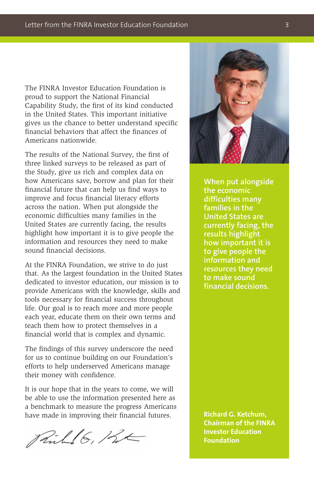The FINRA Investor Education Foundation is proud to support the National Financial Capability Study, the first of its kind conducted in the United States. This important initiative gives us the chance to better understand specific financial behaviors that affect the finances of Americans nationwide.

The results of the National Survey, the first of three linked surveys to be released as part of the Study, give us rich and complex data on how Americans save, borrow and plan for their financial future that can help us find ways to improve and focus financial literacy efforts across the nation. When put alongside the economic difficulties many families in the United States are currently facing, the results highlight how important it is to give people the information and resources they need to make sound financial decisions.

At the FINRA Foundation, we strive to do just that. As the largest foundation in the United States dedicated to investor education, our mission is to provide Americans with the knowledge, skills and tools necessary for financial success throughout life. Our goal is to reach more and more people each year, educate them on their own terms and teach them how to protect themselves in a financial world that is complex and dynamic.

The findings of this survey underscore the need for us to continue building on our Foundation's efforts to help underserved Americans manage their money with confidence.

It is our hope that in the years to come, we will be able to use the information presented here as a benchmark to measure the progress Americans have made in improving their financial futures.

Pill 6, Rt



**When put alongside the economic difficulties many families in the United States are currently facing, the results highlight how important it is to give people the information and resources they need to make sound financial decisions.**

**Richard G. Ketchum, Chairman of the FINRA Investor Education Foundation**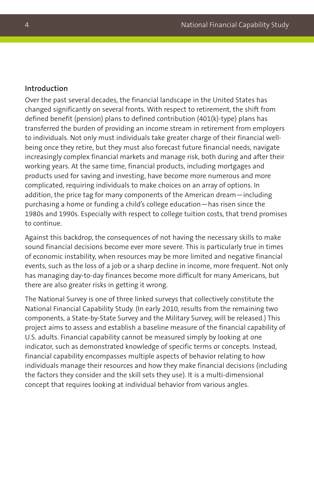#### **Introduction**

Over the past several decades, the financial landscape in the United States has changed significantly on several fronts. With respect to retirement, the shift from defined benefit (pension) plans to defined contribution (401(k)-type) plans has transferred the burden of providing an income stream in retirement from employers to individuals. Not only must individuals take greater charge of their financial wellbeing once they retire, but they must also forecast future financial needs, navigate increasingly complex financial markets and manage risk, both during and after their working years. At the same time, financial products, including mortgages and products used for saving and investing, have become more numerous and more complicated, requiring individuals to make choices on an array of options. In addition, the price tag for many components of the American dream—including purchasing a home or funding a child's college education—has risen since the 1980s and 1990s. Especially with respect to college tuition costs, that trend promises to continue.

Against this backdrop, the consequences of not having the necessary skills to make sound financial decisions become ever more severe. This is particularly true in times of economic instability, when resources may be more limited and negative financial events, such as the loss of a job or a sharp decline in income, more frequent. Not only has managing day-to-day finances become more difficult for many Americans, but there are also greater risks in getting it wrong.

The National Survey is one of three linked surveys that collectively constitute the National Financial Capability Study. (In early 2010, results from the remaining two components, a State-by-State Survey and the Military Survey, will be released.) This project aims to assess and establish a baseline measure of the financial capability of U.S. adults. Financial capability cannot be measured simply by looking at one indicator, such as demonstrated knowledge of specific terms or concepts. Instead, financial capability encompasses multiple aspects of behavior relating to how individuals manage their resources and how they make financial decisions (including the factors they consider and the skill sets they use). It is a multi-dimensional concept that requires looking at individual behavior from various angles.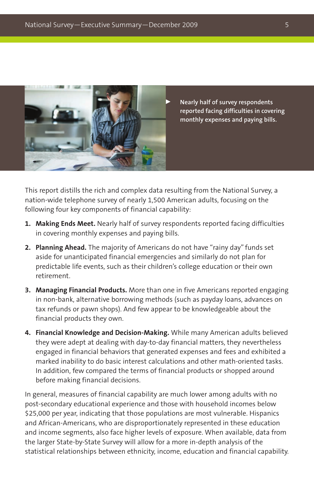

 **Nearly half of survey respondents reported facing difficulties in covering monthly expenses and paying bills.**

This report distills the rich and complex data resulting from the National Survey, a nation-wide telephone survey of nearly 1,500 American adults, focusing on the following four key components of financial capability:

- **1. Making Ends Meet.** Nearly half of survey respondents reported facing difficulties in covering monthly expenses and paying bills.
- **2. Planning Ahead.** The majority of Americans do not have "rainy day" funds set aside for unanticipated financial emergencies and similarly do not plan for predictable life events, such as their children's college education or their own retirement.
- **3. Managing Financial Products.** More than one in five Americans reported engaging in non-bank, alternative borrowing methods (such as payday loans, advances on tax refunds or pawn shops). And few appear to be knowledgeable about the financial products they own.
- **4. Financial Knowledge and Decision-Making.** While many American adults believed they were adept at dealing with day-to-day financial matters, they nevertheless engaged in financial behaviors that generated expenses and fees and exhibited a marked inability to do basic interest calculations and other math-oriented tasks. In addition, few compared the terms of financial products or shopped around before making financial decisions.

In general, measures of financial capability are much lower among adults with no post-secondary educational experience and those with household incomes below \$25,000 per year, indicating that those populations are most vulnerable. Hispanics and African-Americans, who are disproportionately represented in these education and income segments, also face higher levels of exposure. When available, data from the larger State-by-State Survey will allow for a more in-depth analysis of the statistical relationships between ethnicity, income, education and financial capability.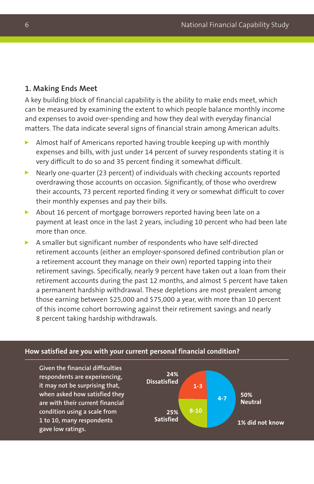#### **1. Making Ends Meet**

A key building block of financial capability is the ability to make ends meet, which can be measured by examining the extent to which people balance monthly income and expenses to avoid over-spending and how they deal with everyday financial matters. The data indicate several signs of financial strain among American adults.

- Almost half of Americans reported having trouble keeping up with monthly expenses and bills, with just under 14 percent of survey respondents stating it is very difficult to do so and 35 percent finding it somewhat difficult.
- Nearly one-quarter (23 percent) of individuals with checking accounts reported overdrawing those accounts on occasion. Significantly, of those who overdrew their accounts, 73 percent reported finding it very or somewhat difficult to cover their monthly expenses and pay their bills.
- About 16 percent of mortgage borrowers reported having been late on a payment at least once in the last 2 years, including 10 percent who had been late more than once.
- A smaller but significant number of respondents who have self-directed retirement accounts (either an employer-sponsored defined contribution plan or a retirement account they manage on their own) reported tapping into their retirement savings. Specifically, nearly 9 percent have taken out a loan from their retirement accounts during the past 12 months, and almost 5 percent have taken a permanent hardship withdrawal. These depletions are most prevalent among those earning between \$25,000 and \$75,000 a year, with more than 10 percent of this income cohort borrowing against their retirement savings and nearly 8 percent taking hardship withdrawals.

#### **How satisfied are you with your current personal financial condition?**

**Given the financial difficulties respondents are experiencing, it may not be surprising that, when asked how satisfied they are with their current financial condition using a scale from 1 to 10, many respondents gave low ratings.**

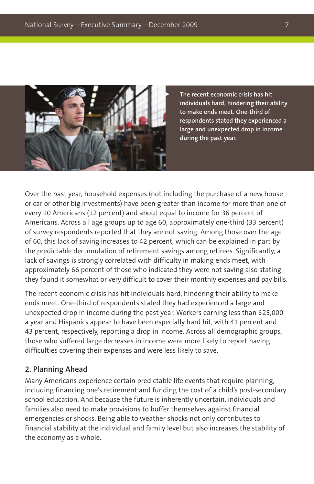

 **The recent economic crisis has hit individuals hard, hindering their ability to make ends meet. One-third of respondents stated they experienced a large and unexpected drop in income during the past year.**

Over the past year, household expenses (not including the purchase of a new house or car or other big investments) have been greater than income for more than one of every 10 Americans (12 percent) and about equal to income for 36 percent of Americans. Across all age groups up to age 60, approximately one-third (33 percent) of survey respondents reported that they are not saving. Among those over the age of 60, this lack of saving increases to 42 percent, which can be explained in part by the predictable decumulation of retirement savings among retirees. Significantly, a lack of savings is strongly correlated with difficulty in making ends meet, with approximately 66 percent of those who indicated they were not saving also stating they found it somewhat or very difficult to cover their monthly expenses and pay bills.

The recent economic crisis has hit individuals hard, hindering their ability to make ends meet. One-third of respondents stated they had experienced a large and unexpected drop in income during the past year. Workers earning less than \$25,000 a year and Hispanics appear to have been especially hard hit, with 41 percent and 43 percent, respectively, reporting a drop in income. Across all demographic groups, those who suffered large decreases in income were more likely to report having difficulties covering their expenses and were less likely to save.

#### **2. Planning Ahead**

Many Americans experience certain predictable life events that require planning, including financing one's retirement and funding the cost of a child's post-secondary school education. And because the future is inherently uncertain, individuals and families also need to make provisions to buffer themselves against financial emergencies or shocks. Being able to weather shocks not only contributes to financial stability at the individual and family level but also increases the stability of the economy as a whole.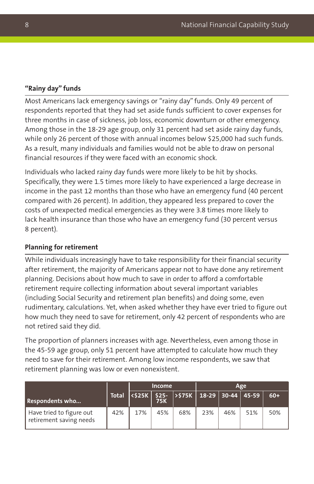#### **"Rainy day" funds**

Most Americans lack emergency savings or "rainy day" funds. Only 49 percent of respondents reported that they had set aside funds sufficient to cover expenses for three months in case of sickness, job loss, economic downturn or other emergency. Among those in the 18-29 age group, only 31 percent had set aside rainy day funds, while only 26 percent of those with annual incomes below \$25,000 had such funds. As a result, many individuals and families would not be able to draw on personal financial resources if they were faced with an economic shock.

Individuals who lacked rainy day funds were more likely to be hit by shocks. Specifically, they were 1.5 times more likely to have experienced a large decrease in income in the past 12 months than those who have an emergency fund (40 percent compared with 26 percent). In addition, they appeared less prepared to cover the costs of unexpected medical emergencies as they were 3.8 times more likely to lack health insurance than those who have an emergency fund (30 percent versus 8 percent).

#### **Planning for retirement**

While individuals increasingly have to take responsibility for their financial security after retirement, the majority of Americans appear not to have done any retirement planning. Decisions about how much to save in order to afford a comfortable retirement require collecting information about several important variables (including Social Security and retirement plan benefits) and doing some, even rudimentary, calculations. Yet, when asked whether they have ever tried to figure out how much they need to save for retirement, only 42 percent of respondents who are not retired said they did.

The proportion of planners increases with age. Nevertheless, even among those in the 45-59 age group, only 51 percent have attempted to calculate how much they need to save for their retirement. Among low income respondents, we saw that retirement planning was low or even nonexistent.

|                                                     |              | <b>Income</b> |            |                                                                  |     |     | Age |       |
|-----------------------------------------------------|--------------|---------------|------------|------------------------------------------------------------------|-----|-----|-----|-------|
| <b>Respondents who</b>                              | <b>Total</b> |               | <b>75K</b> | <\$25K    \$25-   >\$75K    18-29    30-44    45-59 <sup> </sup> |     |     |     | $60+$ |
| Have tried to figure out<br>retirement saving needs | 42%          | 17%           | 45%        | 68%                                                              | 23% | 46% | 51% | 50%   |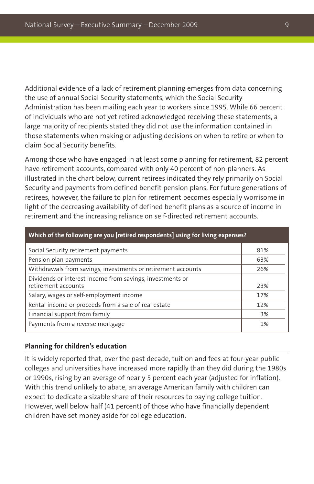Additional evidence of a lack of retirement planning emerges from data concerning the use of annual Social Security statements, which the Social Security Administration has been mailing each year to workers since 1995. While 66 percent of individuals who are not yet retired acknowledged receiving these statements, a large majority of recipients stated they did not use the information contained in those statements when making or adjusting decisions on when to retire or when to claim Social Security benefits.

Among those who have engaged in at least some planning for retirement, 82 percent have retirement accounts, compared with only 40 percent of non-planners. As illustrated in the chart below, current retirees indicated they rely primarily on Social Security and payments from defined benefit pension plans. For future generations of retirees, however, the failure to plan for retirement becomes especially worrisome in light of the decreasing availability of defined benefit plans as a source of income in retirement and the increasing reliance on self-directed retirement accounts.

| Which of the following are you [retired respondents] using for living expenses?  |     |  |  |  |  |  |  |
|----------------------------------------------------------------------------------|-----|--|--|--|--|--|--|
| Social Security retirement payments                                              | 81% |  |  |  |  |  |  |
| Pension plan payments                                                            | 63% |  |  |  |  |  |  |
| Withdrawals from savings, investments or retirement accounts                     | 26% |  |  |  |  |  |  |
| Dividends or interest income from savings, investments or<br>retirement accounts | 23% |  |  |  |  |  |  |
| Salary, wages or self-employment income                                          | 17% |  |  |  |  |  |  |
| Rental income or proceeds from a sale of real estate                             | 12% |  |  |  |  |  |  |
| Financial support from family                                                    | 3%  |  |  |  |  |  |  |
| Payments from a reverse mortgage                                                 | 1%  |  |  |  |  |  |  |

#### **Planning for children's education**

It is widely reported that, over the past decade, tuition and fees at four-year public colleges and universities have increased more rapidly than they did during the 1980s or 1990s, rising by an average of nearly 5 percent each year (adjusted for inflation). With this trend unlikely to abate, an average American family with children can expect to dedicate a sizable share of their resources to paying college tuition. However, well below half (41 percent) of those who have financially dependent children have set money aside for college education.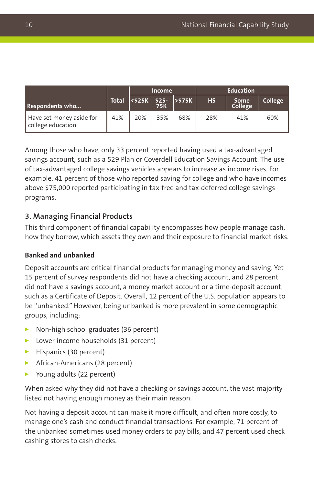|                                               |     | <b>Income</b> |     |                                                                                                                                                                   | <b>Education</b> |                 |         |  |
|-----------------------------------------------|-----|---------------|-----|-------------------------------------------------------------------------------------------------------------------------------------------------------------------|------------------|-----------------|---------|--|
| Respondents who                               |     |               |     | $\begin{array}{ c c c c c }\hline \text{Total} & \text{<$25K$} & \text{$525$} & \text{>$575K$} \\ \hline \text{75K} & \text{75K} & \text{} \\ \hline \end{array}$ | <b>HS</b>        | Some<br>College | College |  |
| Have set money aside for<br>college education | 41% | 20%           | 35% | 68%                                                                                                                                                               | 28%              | 41%             | 60%     |  |

Among those who have, only 33 percent reported having used a tax-advantaged savings account, such as a 529 Plan or Coverdell Education Savings Account. The use of tax-advantaged college savings vehicles appears to increase as income rises. For example, 41 percent of those who reported saving for college and who have incomes above \$75,000 reported participating in tax-free and tax-deferred college savings programs.

#### **3. Managing Financial Products**

This third component of financial capability encompasses how people manage cash, how they borrow, which assets they own and their exposure to financial market risks.

#### **Banked and unbanked**

Deposit accounts are critical financial products for managing money and saving. Yet 15 percent of survey respondents did not have a checking account, and 28 percent did not have a savings account, a money market account or a time-deposit account, such as a Certificate of Deposit. Overall, 12 percent of the U.S. population appears to be "unbanked." However, being unbanked is more prevalent in some demographic groups, including:

- Non-high school graduates (36 percent)
- **Lower-income households (31 percent)**
- $\blacktriangleright$  Hispanics (30 percent)
- **African-Americans (28 percent)**
- Young adults (22 percent)

When asked why they did not have a checking or savings account, the vast majority listed not having enough money as their main reason.

Not having a deposit account can make it more difficult, and often more costly, to manage one's cash and conduct financial transactions. For example, 71 percent of the unbanked sometimes used money orders to pay bills, and 47 percent used check cashing stores to cash checks.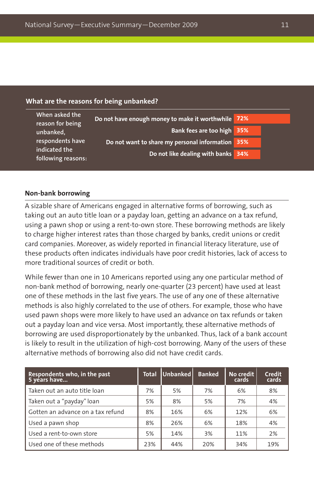#### **What are the reasons for being unbanked?**

| When asked the<br>reason for being | Do not have enough money to make it worthwhile 72% |  |
|------------------------------------|----------------------------------------------------|--|
| unbanked,                          | Bank fees are too high 35%                         |  |
| respondents have<br>indicated the  | Do not want to share my personal information 35%   |  |
| following reasons:                 | Do not like dealing with banks 34%                 |  |

#### **Non-bank borrowing**

A sizable share of Americans engaged in alternative forms of borrowing, such as taking out an auto title loan or a payday loan, getting an advance on a tax refund, using a pawn shop or using a rent-to-own store. These borrowing methods are likely to charge higher interest rates than those charged by banks, credit unions or credit card companies. Moreover, as widely reported in financial literacy literature, use of these products often indicates individuals have poor credit histories, lack of access to more traditional sources of credit or both.

While fewer than one in 10 Americans reported using any one particular method of non-bank method of borrowing, nearly one-quarter (23 percent) have used at least one of these methods in the last five years. The use of any one of these alternative methods is also highly correlated to the use of others. For example, those who have used pawn shops were more likely to have used an advance on tax refunds or taken out a payday loan and vice versa. Most importantly, these alternative methods of borrowing are used disproportionately by the unbanked. Thus, lack of a bank account is likely to result in the utilization of high-cost borrowing. Many of the users of these alternative methods of borrowing also did not have credit cards.

| Respondents who, in the past<br>5 years have | Total | Unbanked | <b>Banked</b> | No credit<br>cards | Credit<br>cards |
|----------------------------------------------|-------|----------|---------------|--------------------|-----------------|
| Taken out an auto title loan                 | 7%    | 5%       | 7%            | 6%                 | 8%              |
| Taken out a "payday" loan                    | 5%    | 8%       | 5%            | 7%                 | 4%              |
| Gotten an advance on a tax refund            | 8%    | 16%      | 6%            | 12%                | 6%              |
| Used a pawn shop                             | 8%    | 26%      | 6%            | 18%                | 4%              |
| Used a rent-to-own store                     | 5%    | 14%      | 3%            | 11%                | 2%              |
| Used one of these methods                    | 23%   | 44%      | 20%           | 34%                | 19%             |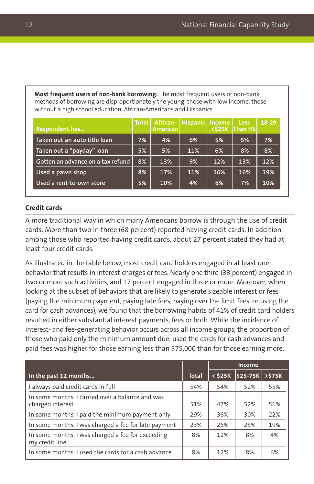**Most frequent users of non-bank borrowing:** The most frequent users of non-bank methods of borrowing are disproportionately the young, those with low income, those without a high school education, African-Americans and Hispanics.

| <b>Respondent has</b>             | <b>Total</b> | <b>American</b> | African-   Hispanic   Income |     | Less<br><\$25K Than HS | 18-29 |
|-----------------------------------|--------------|-----------------|------------------------------|-----|------------------------|-------|
| Taken out an auto title loan      | 7%           | 4%              | 6%                           | 5%  | 5%                     | 7%    |
| Taken out a "payday" loan         | 5%           | 5%              | 11%                          | 6%  | 8%                     | 8%    |
| Gotten an advance on a tax refund | 8%           | 13%             | 9%                           | 12% | 13%                    | 12%   |
| Used a pawn shop                  | 8%           | 17%             | 11%                          | 16% | 16%                    | 19%   |
| Used a rent-to-own store          | 5%           | 10%             | 4%                           | 8%  | 7%                     | 10%   |

#### **Credit cards**

A more traditional way in which many Americans borrow is through the use of credit cards. More than two in three (68 percent) reported having credit cards. In addition, among those who reported having credit cards, about 27 percent stated they had at least four credit cards.

As illustrated in the table below, most credit card holders engaged in at least one behavior that results in interest charges or fees. Nearly one third (33 percent) engaged in two or more such activities, and 17 percent engaged in three or more. Moreover, when looking at the subset of behaviors that are likely to generate sizeable interest or fees (paying the minimum payment, paying late fees, paying over the limit fees, or using the card for cash advances), we found that the borrowing habits of 41% of credit card holders resulted in either substantial interest payments, fees or both. While the incidence of interest- and fee-generating behavior occurs across all income groups, the proportion of those who paid only the minimum amount due, used the cards for cash advances and paid fees was higher for those earning less than \$75,000 than for those earning more.

|                                                                      |              | Income |                    |       |
|----------------------------------------------------------------------|--------------|--------|--------------------|-------|
| In the past 12 months                                                | <b>Total</b> |        | < \$25K   \$25-75K | >575K |
| I always paid credit cards in full                                   | 54%          | 54%    | 52%                | 55%   |
| In some months, I carried over a balance and was<br>charged interest | 51%          | 47%    | 52%                | 51%   |
| In some months, I paid the minimum payment only                      | 29%          | 36%    | 30%                | 22%   |
| In some months, I was charged a fee for late payment                 | 23%          | 26%    | 25%                | 19%   |
| In some months, I was charged a fee for exceeding<br>my credit line  | 8%           | 12%    | 8%                 | 4%    |
| In some months, I used the cards for a cash advance                  | 8%           | 12%    | 8%                 | 6%    |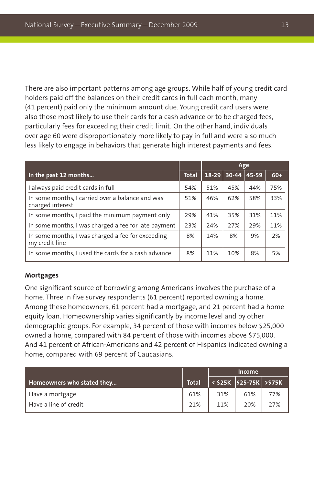There are also important patterns among age groups. While half of young credit card holders paid off the balances on their credit cards in full each month, many (41 percent) paid only the minimum amount due. Young credit card users were also those most likely to use their cards for a cash advance or to be charged fees, particularly fees for exceeding their credit limit. On the other hand, individuals over age 60 were disproportionately more likely to pay in full and were also much less likely to engage in behaviors that generate high interest payments and fees.

|                                                                      |              |           | Age     |       |       |
|----------------------------------------------------------------------|--------------|-----------|---------|-------|-------|
| In the past 12 months                                                | <b>Total</b> | $18 - 29$ | $30-44$ | 45-59 | $60+$ |
| I always paid credit cards in full                                   | 54%          | 51%       | 45%     | 44%   | 75%   |
| In some months, I carried over a balance and was<br>charged interest | 51%          | 46%       | 62%     | 58%   | 33%   |
| In some months, I paid the minimum payment only                      | 29%          | 41%       | 35%     | 31%   | 11%   |
| In some months, I was charged a fee for late payment                 | 23%          | 24%       | 27%     | 29%   | 11%   |
| In some months, I was charged a fee for exceeding<br>my credit line  | 8%           | 14%       | 8%      | 9%    | 2%    |
| In some months, I used the cards for a cash advance                  | 8%           | 11%       | 10%     | 8%    | 5%    |

#### **Mortgages**

One significant source of borrowing among Americans involves the purchase of a home. Three in five survey respondents (61 percent) reported owning a home. Among these homeowners, 61 percent had a mortgage, and 21 percent had a home equity loan. Homeownership varies significantly by income level and by other demographic groups. For example, 34 percent of those with incomes below \$25,000 owned a home, compared with 84 percent of those with incomes above \$75,000. And 41 percent of African-Americans and 42 percent of Hispanics indicated owning a home, compared with 69 percent of Caucasians.

|                            |       | <b>Income</b> |                                           |     |
|----------------------------|-------|---------------|-------------------------------------------|-----|
| Homeowners who stated they | Total |               | < \$25K    \$25-75K   >\$75K <sup> </sup> |     |
| Have a mortgage            | 61%   | 31%           | 61%                                       | 77% |
| Have a line of credit      | 21%   | 11%           | 20%                                       | 27% |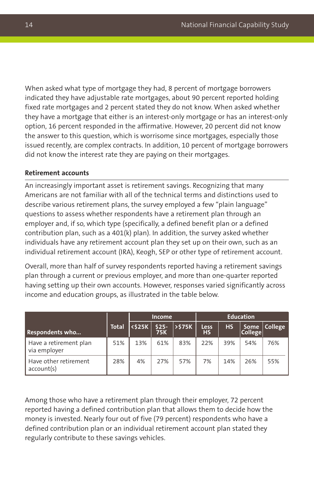When asked what type of mortgage they had, 8 percent of mortgage borrowers indicated they have adjustable rate mortgages, about 90 percent reported holding fixed rate mortgages and 2 percent stated they do not know. When asked whether they have a mortgage that either is an interest-only mortgage or has an interest-only option, 16 percent responded in the affirmative. However, 20 percent did not know the answer to this question, which is worrisome since mortgages, especially those issued recently, are complex contracts. In addition, 10 percent of mortgage borrowers did not know the interest rate they are paying on their mortgages.

#### **Retirement accounts**

An increasingly important asset is retirement savings. Recognizing that many Americans are not familiar with all of the technical terms and distinctions used to describe various retirement plans, the survey employed a few "plain language" questions to assess whether respondents have a retirement plan through an employer and, if so, which type (specifically, a defined benefit plan or a defined contribution plan, such as a 401(k) plan). In addition, the survey asked whether individuals have any retirement account plan they set up on their own, such as an individual retirement account (IRA), Keogh, SEP or other type of retirement account.

Overall, more than half of survey respondents reported having a retirement savings plan through a current or previous employer, and more than one-quarter reported having setting up their own accounts. However, responses varied significantly across income and education groups, as illustrated in the table below.

|                                        |              | <b>Income</b> |                      |                  | <b>Education</b> |           |                        |         |
|----------------------------------------|--------------|---------------|----------------------|------------------|------------------|-----------|------------------------|---------|
| <b>Respondents who</b>                 | <b>Total</b> | <b>K\$25K</b> | $$25-$<br><b>75K</b> | <b>&gt;\$75K</b> | Less<br>HS       | <b>HS</b> | Some<br><b>College</b> | College |
| Have a retirement plan<br>via employer | 51%          | 13%           | 61%                  | 83%              | 22%              | 39%       | 54%                    | 76%     |
| Have other retirement<br>account(s)    | 28%          | 4%            | 27%                  | 57%              | 7%               | 14%       | 26%                    | 55%     |

Among those who have a retirement plan through their employer, 72 percent reported having a defined contribution plan that allows them to decide how the money is invested. Nearly four out of five (79 percent) respondents who have a defined contribution plan or an individual retirement account plan stated they regularly contribute to these savings vehicles.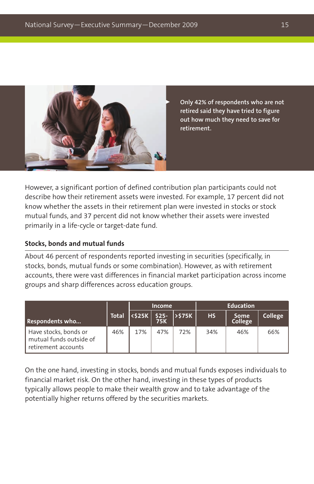

 **Only 42% of respondents who are not retired said they have tried to figure out how much they need to save for retirement.**

However, a significant portion of defined contribution plan participants could not describe how their retirement assets were invested. For example, 17 percent did not know whether the assets in their retirement plan were invested in stocks or stock mutual funds, and 37 percent did not know whether their assets were invested primarily in a life-cycle or target-date fund.

#### **Stocks, bonds and mutual funds**

About 46 percent of respondents reported investing in securities (specifically, in stocks, bonds, mutual funds or some combination). However, as with retirement accounts, there were vast differences in financial market participation across income groups and sharp differences across education groups.

|                                                                         |              | <b>Income</b> |     |                                                                                                |           |                 |         |  | <b>Education</b> |  |
|-------------------------------------------------------------------------|--------------|---------------|-----|------------------------------------------------------------------------------------------------|-----------|-----------------|---------|--|------------------|--|
| <b>Respondents who</b>                                                  | <b>Total</b> |               |     | $\left  \frac{\text{525K}}{\text{75K}} \right $ $\left  \frac{\text{525}}{\text{75K}} \right $ | <b>HS</b> | Some<br>College | College |  |                  |  |
| Have stocks, bonds or<br>mutual funds outside of<br>retirement accounts | 46%          | 17%           | 47% | 72%                                                                                            | 34%       | 46%             | 66%     |  |                  |  |

On the one hand, investing in stocks, bonds and mutual funds exposes individuals to financial market risk. On the other hand, investing in these types of products typically allows people to make their wealth grow and to take advantage of the potentially higher returns offered by the securities markets.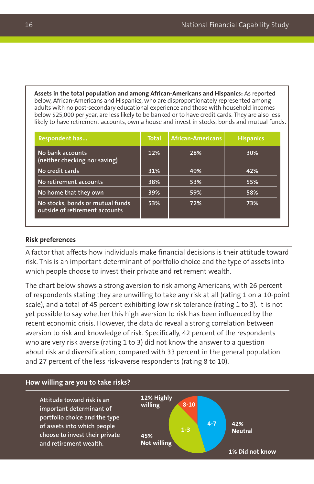**Assets in the total population and among African-Americans and Hispanics:** As reported below, African-Americans and Hispanics, who are disproportionately represented among adults with no post-secondary educational experience and those with household incomes below \$25,000 per year, are less likely to be banked or to have credit cards. They are also less likely to have retirement accounts, own a house and invest in stocks, bonds and mutual funds**.**

| <b>Respondent has</b>                                              | <b>Total</b> | <b>African-Americans</b> | <b>Hispanics</b> |
|--------------------------------------------------------------------|--------------|--------------------------|------------------|
| No bank accounts<br>(neither checking nor saving)                  | 12%          | 28%                      | 30%              |
| No credit cards                                                    | 31%          | 49%                      | 42%              |
| No retirement accounts                                             | 38%          | 53%                      | 55%              |
| No home that they own                                              | 39%          | 59%                      | 58%              |
| No stocks, bonds or mutual funds<br>outside of retirement accounts | 53%          | 72%                      | 73%              |

#### **Risk preferences**

A factor that affects how individuals make financial decisions is their attitude toward risk. This is an important determinant of portfolio choice and the type of assets into which people choose to invest their private and retirement wealth.

The chart below shows a strong aversion to risk among Americans, with 26 percent of respondents stating they are unwilling to take any risk at all (rating 1 on a 10-point scale), and a total of 45 percent exhibiting low risk tolerance (rating 1 to 3). It is not yet possible to say whether this high aversion to risk has been influenced by the recent economic crisis. However, the data do reveal a strong correlation between aversion to risk and knowledge of risk. Specifically, 42 percent of the respondents who are very risk averse (rating 1 to 3) did not know the answer to a question about risk and diversification, compared with 33 percent in the general population and 27 percent of the less risk-averse respondents (rating 8 to 10).

#### **42% Neutral 1% Did not know Attitude toward risk is an important determinant of portfolio choice and the type of assets into which people choose to invest their private and retirement wealth. How willing are you to take risks? 12% Highly willing 45% Not willing 4-7 8-10 1-3**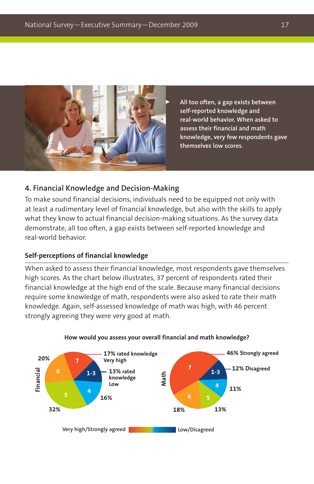

 **All too often, a gap exists between self-reported knowledge and real-world behavior. When asked to assess their financial and math knowledge, very few respondents gave themselves low scores.**

#### **4. Financial Knowledge and Decision-Making**

To make sound financial decisions, individuals need to be equipped not only with at least a rudimentary level of financial knowledge, but also with the skills to apply what they know to actual financial decision-making situations. As the survey data demonstrate, all too often, a gap exists between self-reported knowledge and real-world behavior.

#### **Self-perceptions of financial knowledge**

When asked to assess their financial knowledge, most respondents gave themselves high scores. As the chart below illustrates, 37 percent of respondents rated their financial knowledge at the high end of the scale. Because many financial decisions require some knowledge of math, respondents were also asked to rate their math knowledge. Again, self-assessed knowledge of math was high, with 46 percent strongly agreeing they were very good at math.



#### **How would you assess your overall financial and math knowledge?**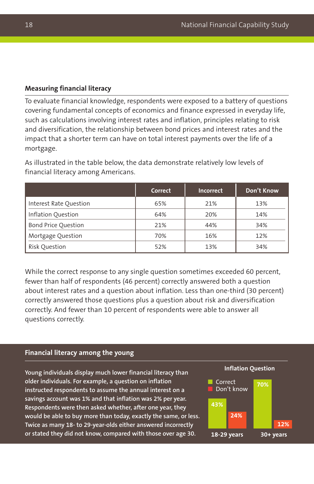#### **Measuring financial literacy**

To evaluate financial knowledge, respondents were exposed to a battery of questions covering fundamental concepts of economics and finance expressed in everyday life, such as calculations involving interest rates and inflation, principles relating to risk and diversification, the relationship between bond prices and interest rates and the impact that a shorter term can have on total interest payments over the life of a mortgage.

As illustrated in the table below, the data demonstrate relatively low levels of financial literacy among Americans.

|                            | Correct | Incorrect | Don't Know |
|----------------------------|---------|-----------|------------|
| Interest Rate Ouestion     | 65%     | 21%       | 13%        |
| Inflation Ouestion         | 64%     | 20%       | 14%        |
| <b>Bond Price Question</b> | 21%     | 44%       | 34%        |
| Mortgage Question          | 70%     | 16%       | 12%        |
| <b>Risk Ouestion</b>       | 52%     | 13%       | 34%        |

While the correct response to any single question sometimes exceeded 60 percent, fewer than half of respondents (46 percent) correctly answered both a question about interest rates and a question about inflation. Less than one-third (30 percent) correctly answered those questions plus a question about risk and diversification correctly. And fewer than 10 percent of respondents were able to answer all questions correctly.

#### **Financial literacy among the young**

**Young individuals display much lower financial literacy than older individuals. For example, a question on inflation instructed respondents to assume the annual interest on a savings account was 1% and that inflation was 2% per year. Respondents were then asked whether, after one year, they would be able to buy more than today, exactly the same, or less. Twice as many 18- to 29-year-olds either answered incorrectly or stated they did not know, compared with those over age 30. 18-29 years 30+ years**



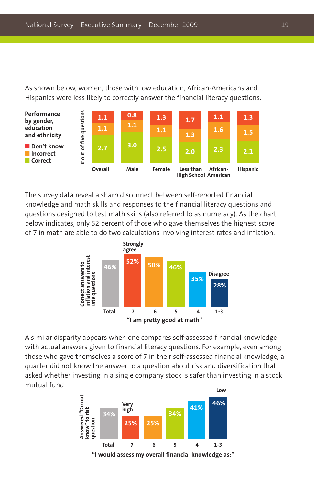As shown below, women, those with low education, African-Americans and Hispanics were less likely to correctly answer the financial literacy questions.



The survey data reveal a sharp disconnect between self-reported financial knowledge and math skills and responses to the financial literacy questions and questions designed to test math skills (also referred to as numeracy). As the chart below indicates, only 52 percent of those who gave themselves the highest score of 7 in math are able to do two calculations involving interest rates and inflation.



A similar disparity appears when one compares self-assessed financial knowledge with actual answers given to financial literacy questions. For example, even among those who gave themselves a score of 7 in their self-assessed financial knowledge, a quarter did not know the answer to a question about risk and diversification that asked whether investing in a single company stock is safer than investing in a stock mutual fund.

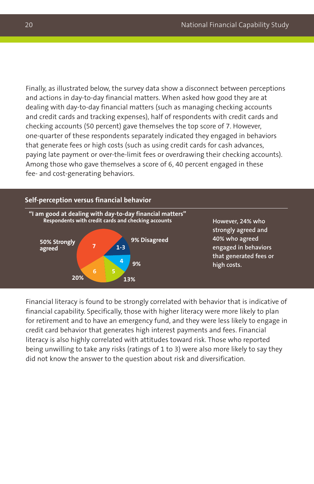Finally, as illustrated below, the survey data show a disconnect between perceptions and actions in day-to-day financial matters. When asked how good they are at dealing with day-to-day financial matters (such as managing checking accounts and credit cards and tracking expenses), half of respondents with credit cards and checking accounts (50 percent) gave themselves the top score of 7. However, one-quarter of these respondents separately indicated they engaged in behaviors that generate fees or high costs (such as using credit cards for cash advances, paying late payment or over-the-limit fees or overdrawing their checking accounts). Among those who gave themselves a score of 6, 40 percent engaged in these fee- and cost-generating behaviors.



Financial literacy is found to be strongly correlated with behavior that is indicative of financial capability. Specifically, those with higher literacy were more likely to plan for retirement and to have an emergency fund, and they were less likely to engage in credit card behavior that generates high interest payments and fees. Financial literacy is also highly correlated with attitudes toward risk. Those who reported being unwilling to take any risks (ratings of 1 to 3) were also more likely to say they did not know the answer to the question about risk and diversification.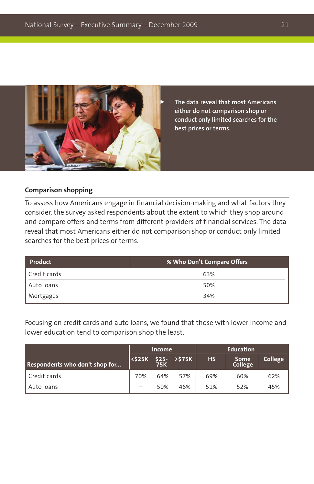

 **The data reveal that most Americans either do not comparison shop or conduct only limited searches for the best prices or terms.**

#### **Comparison shopping**

To assess how Americans engage in financial decision-making and what factors they consider, the survey asked respondents about the extent to which they shop around and compare offers and terms from different providers of financial services. The data reveal that most Americans either do not comparison shop or conduct only limited searches for the best prices or terms.

| Product      | % Who Don't Compare Offers |  |  |  |  |
|--------------|----------------------------|--|--|--|--|
| Credit cards | 63%                        |  |  |  |  |
| Auto loans   | 50%                        |  |  |  |  |
| Mortgages    | 34%                        |  |  |  |  |

Focusing on credit cards and auto loans, we found that those with lower income and lower education tend to comparison shop the least.

|                                | <b>Income</b> |     |                          | <b>Education</b> |                 |         |  |
|--------------------------------|---------------|-----|--------------------------|------------------|-----------------|---------|--|
| Respondents who don't shop for |               |     | $\frac{25}{75K}$ > \$75K | <b>HS</b>        | Some<br>College | College |  |
| LCredit cards                  | 70%           | 64% | 57%                      | 69%              | 60%             | 62%     |  |
| Auto loans                     |               | 50% | 46%                      | 51%              | 52%             | 45%     |  |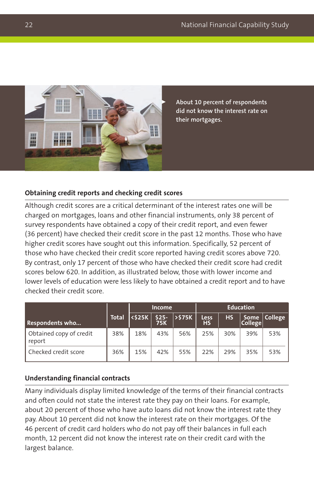

 **About 10 percent of respondents did not know the interest rate on their mortgages.**

#### **Obtaining credit reports and checking credit scores**

Although credit scores are a critical determinant of the interest rates one will be charged on mortgages, loans and other financial instruments, only 38 percent of survey respondents have obtained a copy of their credit report, and even fewer (36 percent) have checked their credit score in the past 12 months. Those who have higher credit scores have sought out this information. Specifically, 52 percent of those who have checked their credit score reported having credit scores above 720. By contrast, only 17 percent of those who have checked their credit score had credit scores below 620. In addition, as illustrated below, those with lower income and lower levels of education were less likely to have obtained a credit report and to have checked their credit score.

|                                   |              | <b>Income</b> |                      |        | <b>Education</b>  |           |                        |         |
|-----------------------------------|--------------|---------------|----------------------|--------|-------------------|-----------|------------------------|---------|
| <b>Respondents who</b>            | <b>Total</b> | <\$25K        | $$25-$<br><b>75K</b> | >\$75K | Less<br><b>HS</b> | <b>HS</b> | <b>Some</b><br>College | College |
| Obtained copy of credit<br>report | 38%          | 18%           | 43%                  | 56%    | 25%               | 30%       | 39%                    | 53%     |
| Checked credit score              | 36%          | 15%           | 42%                  | 55%    | 22%               | 29%       | 35%                    | 53%     |

#### **Understanding financial contracts**

Many individuals display limited knowledge of the terms of their financial contracts and often could not state the interest rate they pay on their loans. For example, about 20 percent of those who have auto loans did not know the interest rate they pay. About 10 percent did not know the interest rate on their mortgages. Of the 46 percent of credit card holders who do not pay off their balances in full each month, 12 percent did not know the interest rate on their credit card with the largest balance.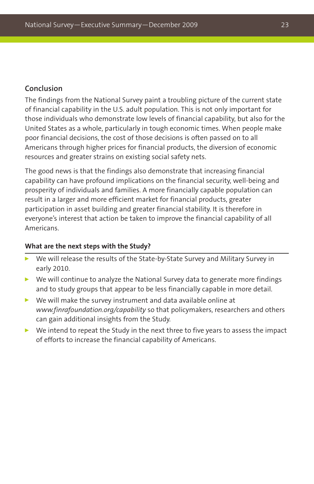#### **Conclusion**

The findings from the National Survey paint a troubling picture of the current state of financial capability in the U.S. adult population. This is not only important for those individuals who demonstrate low levels of financial capability, but also for the United States as a whole, particularly in tough economic times. When people make poor financial decisions, the cost of those decisions is often passed on to all Americans through higher prices for financial products, the diversion of economic resources and greater strains on existing social safety nets.

The good news is that the findings also demonstrate that increasing financial capability can have profound implications on the financial security, well-being and prosperity of individuals and families. A more financially capable population can result in a larger and more efficient market for financial products, greater participation in asset building and greater financial stability. It is therefore in everyone's interest that action be taken to improve the financial capability of all Americans.

#### **What are the next steps with the Study?**

- We will release the results of the State-by-State Survey and Military Survey in early 2010.
- $\blacktriangleright$  We will continue to analyze the National Survey data to generate more findings and to study groups that appear to be less financially capable in more detail.
- $\triangleright$  We will make the survey instrument and data available online at *www.finrafoundation.org/capability* so that policymakers, researchers and others can gain additional insights from the Study.
- We intend to repeat the Study in the next three to five years to assess the impact of efforts to increase the financial capability of Americans.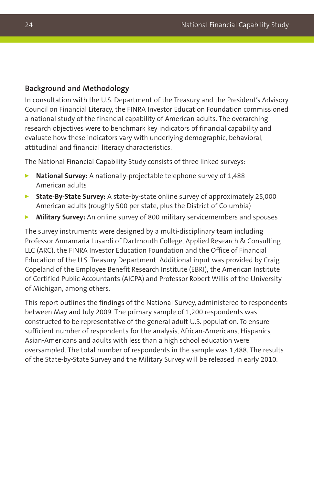#### **Background and Methodology**

In consultation with the U.S. Department of the Treasury and the President's Advisory Council on Financial Literacy, the FINRA Investor Education Foundation commissioned a national study of the financial capability of American adults. The overarching research objectives were to benchmark key indicators of financial capability and evaluate how these indicators vary with underlying demographic, behavioral, attitudinal and financial literacy characteristics.

The National Financial Capability Study consists of three linked surveys:

- **National Survey:** A nationally-projectable telephone survey of 1,488 American adults
- **State-By-State Survey:** A state-by-state online survey of approximately 25,000 American adults (roughly 500 per state, plus the District of Columbia)
- **Military Survey:** An online survey of 800 military servicemembers and spouses

The survey instruments were designed by a multi-disciplinary team including Professor Annamaria Lusardi of Dartmouth College, Applied Research & Consulting LLC (ARC), the FINRA Investor Education Foundation and the Office of Financial Education of the U.S. Treasury Department. Additional input was provided by Craig Copeland of the Employee Benefit Research Institute (EBRI), the American Institute of Certified Public Accountants (AICPA) and Professor Robert Willis of the University of Michigan, among others.

This report outlines the findings of the National Survey, administered to respondents between May and July 2009. The primary sample of 1,200 respondents was constructed to be representative of the general adult U.S. population. To ensure sufficient number of respondents for the analysis, African-Americans, Hispanics, Asian-Americans and adults with less than a high school education were oversampled. The total number of respondents in the sample was 1,488. The results of the State-by-State Survey and the Military Survey will be released in early 2010.